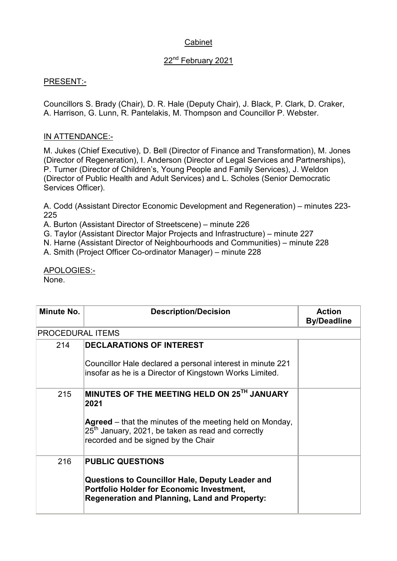## Cabinet

## 22<sup>nd</sup> February 2021

## PRESENT:-

Councillors S. Brady (Chair), D. R. Hale (Deputy Chair), J. Black, P. Clark, D. Craker, A. Harrison, G. Lunn, R. Pantelakis, M. Thompson and Councillor P. Webster.

## IN ATTENDANCE:-

M. Jukes (Chief Executive), D. Bell (Director of Finance and Transformation), M. Jones (Director of Regeneration), I. Anderson (Director of Legal Services and Partnerships), P. Turner (Director of Children's, Young People and Family Services), J. Weldon (Director of Public Health and Adult Services) and L. Scholes (Senior Democratic Services Officer).

A. Codd (Assistant Director Economic Development and Regeneration) – minutes 223- 225

A. Burton (Assistant Director of Streetscene) – minute 226

G. Taylor (Assistant Director Major Projects and Infrastructure) – minute 227

N. Harne (Assistant Director of Neighbourhoods and Communities) – minute 228

A. Smith (Project Officer Co-ordinator Manager) – minute 228

APOLOGIES:- None.

| Minute No.              | <b>Description/Decision</b>                                                                                                                                        | <b>Action</b><br><b>By/Deadline</b> |
|-------------------------|--------------------------------------------------------------------------------------------------------------------------------------------------------------------|-------------------------------------|
| <b>PROCEDURAL ITEMS</b> |                                                                                                                                                                    |                                     |
| 214                     | <b>DECLARATIONS OF INTEREST</b>                                                                                                                                    |                                     |
|                         | Councillor Hale declared a personal interest in minute 221<br>insofar as he is a Director of Kingstown Works Limited.                                              |                                     |
| 215                     | MINUTES OF THE MEETING HELD ON 25TH JANUARY<br>2021                                                                                                                |                                     |
|                         | Agreed – that the minutes of the meeting held on Monday,<br>$25th$ January, 2021, be taken as read and correctly<br>recorded and be signed by the Chair            |                                     |
| 216                     | <b>PUBLIC QUESTIONS</b>                                                                                                                                            |                                     |
|                         | <b>Questions to Councillor Hale, Deputy Leader and</b><br><b>Portfolio Holder for Economic Investment,</b><br><b>Regeneration and Planning, Land and Property:</b> |                                     |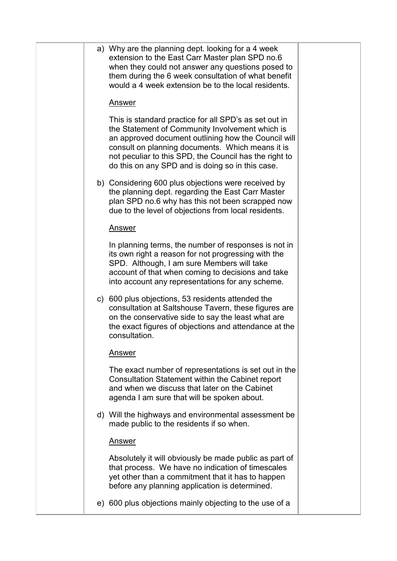|  | a) Why are the planning dept. looking for a 4 week<br>extension to the East Carr Master plan SPD no.6<br>when they could not answer any questions posed to<br>them during the 6 week consultation of what benefit<br>would a 4 week extension be to the local residents.                                                          |  |
|--|-----------------------------------------------------------------------------------------------------------------------------------------------------------------------------------------------------------------------------------------------------------------------------------------------------------------------------------|--|
|  | <u>Answer</u>                                                                                                                                                                                                                                                                                                                     |  |
|  | This is standard practice for all SPD's as set out in<br>the Statement of Community Involvement which is<br>an approved document outlining how the Council will<br>consult on planning documents. Which means it is<br>not peculiar to this SPD, the Council has the right to<br>do this on any SPD and is doing so in this case. |  |
|  | b) Considering 600 plus objections were received by<br>the planning dept. regarding the East Carr Master<br>plan SPD no.6 why has this not been scrapped now<br>due to the level of objections from local residents.                                                                                                              |  |
|  | <b>Answer</b>                                                                                                                                                                                                                                                                                                                     |  |
|  | In planning terms, the number of responses is not in<br>its own right a reason for not progressing with the<br>SPD. Although, I am sure Members will take<br>account of that when coming to decisions and take<br>into account any representations for any scheme.                                                                |  |
|  | c) 600 plus objections, 53 residents attended the<br>consultation at Saltshouse Tavern, these figures are<br>on the conservative side to say the least what are<br>the exact figures of objections and attendance at the<br>consultation.                                                                                         |  |
|  | Answer                                                                                                                                                                                                                                                                                                                            |  |
|  | The exact number of representations is set out in the<br>Consultation Statement within the Cabinet report<br>and when we discuss that later on the Cabinet<br>agenda I am sure that will be spoken about.                                                                                                                         |  |
|  | d) Will the highways and environmental assessment be<br>made public to the residents if so when.                                                                                                                                                                                                                                  |  |
|  | <u>Answer</u>                                                                                                                                                                                                                                                                                                                     |  |
|  | Absolutely it will obviously be made public as part of<br>that process. We have no indication of timescales<br>yet other than a commitment that it has to happen<br>before any planning application is determined.                                                                                                                |  |
|  | e) 600 plus objections mainly objecting to the use of a                                                                                                                                                                                                                                                                           |  |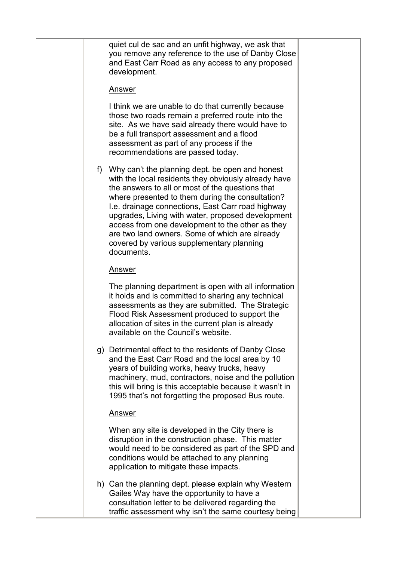|   | quiet cul de sac and an unfit highway, we ask that<br>you remove any reference to the use of Danby Close<br>and East Carr Road as any access to any proposed<br>development.                                                                                                                                                                                                                                                                                                               |  |
|---|--------------------------------------------------------------------------------------------------------------------------------------------------------------------------------------------------------------------------------------------------------------------------------------------------------------------------------------------------------------------------------------------------------------------------------------------------------------------------------------------|--|
|   | <u>Answer</u>                                                                                                                                                                                                                                                                                                                                                                                                                                                                              |  |
|   | I think we are unable to do that currently because<br>those two roads remain a preferred route into the<br>site. As we have said already there would have to<br>be a full transport assessment and a flood<br>assessment as part of any process if the<br>recommendations are passed today.                                                                                                                                                                                                |  |
| f | Why can't the planning dept. be open and honest<br>with the local residents they obviously already have<br>the answers to all or most of the questions that<br>where presented to them during the consultation?<br>I.e. drainage connections, East Carr road highway<br>upgrades, Living with water, proposed development<br>access from one development to the other as they<br>are two land owners. Some of which are already<br>covered by various supplementary planning<br>documents. |  |
|   | <u>Answer</u>                                                                                                                                                                                                                                                                                                                                                                                                                                                                              |  |
|   | The planning department is open with all information<br>it holds and is committed to sharing any technical<br>assessments as they are submitted. The Strategic<br>Flood Risk Assessment produced to support the<br>allocation of sites in the current plan is already<br>available on the Council's website.                                                                                                                                                                               |  |
|   | g) Detrimental effect to the residents of Danby Close<br>and the East Carr Road and the local area by 10<br>years of building works, heavy trucks, heavy<br>machinery, mud, contractors, noise and the pollution<br>this will bring is this acceptable because it wasn't in<br>1995 that's not forgetting the proposed Bus route.                                                                                                                                                          |  |
|   | <u>Answer</u>                                                                                                                                                                                                                                                                                                                                                                                                                                                                              |  |
|   | When any site is developed in the City there is<br>disruption in the construction phase. This matter<br>would need to be considered as part of the SPD and<br>conditions would be attached to any planning<br>application to mitigate these impacts.                                                                                                                                                                                                                                       |  |
|   | h) Can the planning dept. please explain why Western<br>Gailes Way have the opportunity to have a<br>consultation letter to be delivered regarding the<br>traffic assessment why isn't the same courtesy being                                                                                                                                                                                                                                                                             |  |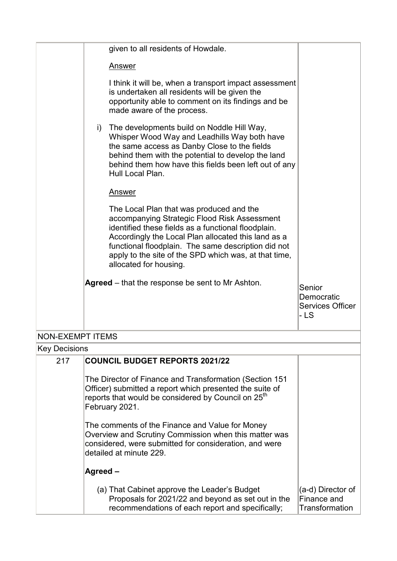|                         |    | given to all residents of Howdale.                                                                                                                                                                                                                                                                                                               |                                                         |
|-------------------------|----|--------------------------------------------------------------------------------------------------------------------------------------------------------------------------------------------------------------------------------------------------------------------------------------------------------------------------------------------------|---------------------------------------------------------|
|                         |    | <b>Answer</b>                                                                                                                                                                                                                                                                                                                                    |                                                         |
|                         |    | I think it will be, when a transport impact assessment<br>is undertaken all residents will be given the<br>opportunity able to comment on its findings and be<br>made aware of the process.                                                                                                                                                      |                                                         |
|                         | i) | The developments build on Noddle Hill Way,<br>Whisper Wood Way and Leadhills Way both have<br>the same access as Danby Close to the fields<br>behind them with the potential to develop the land<br>behind them how have this fields been left out of any<br>Hull Local Plan.                                                                    |                                                         |
|                         |    | Answer                                                                                                                                                                                                                                                                                                                                           |                                                         |
|                         |    | The Local Plan that was produced and the<br>accompanying Strategic Flood Risk Assessment<br>identified these fields as a functional floodplain.<br>Accordingly the Local Plan allocated this land as a<br>functional floodplain. The same description did not<br>apply to the site of the SPD which was, at that time,<br>allocated for housing. |                                                         |
|                         |    | Agreed – that the response be sent to Mr Ashton.                                                                                                                                                                                                                                                                                                 | Senior<br>Democratic<br><b>Services Officer</b><br>- LS |
| <b>NON-EXEMPT ITEMS</b> |    |                                                                                                                                                                                                                                                                                                                                                  |                                                         |
| <b>Key Decisions</b>    |    |                                                                                                                                                                                                                                                                                                                                                  |                                                         |
| 217                     |    | <b>COUNCIL BUDGET REPORTS 2021/22</b>                                                                                                                                                                                                                                                                                                            |                                                         |

The Director of Finance and Transformation (Section 151 Officer) submitted a report which presented the suite of reports that would be considered by Council on 25<sup>th</sup> February 2021.

The comments of the Finance and Value for Money Overview and Scrutiny Commission when this matter was considered, were submitted for consideration, and were detailed at minute 229.

| Agreed –                                                                                                                                               |                                                       |
|--------------------------------------------------------------------------------------------------------------------------------------------------------|-------------------------------------------------------|
| (a) That Cabinet approve the Leader's Budget<br>Proposals for 2021/22 and beyond as set out in the<br>recommendations of each report and specifically; | $ (a-d)$ Director of<br>Finance and<br>Transformation |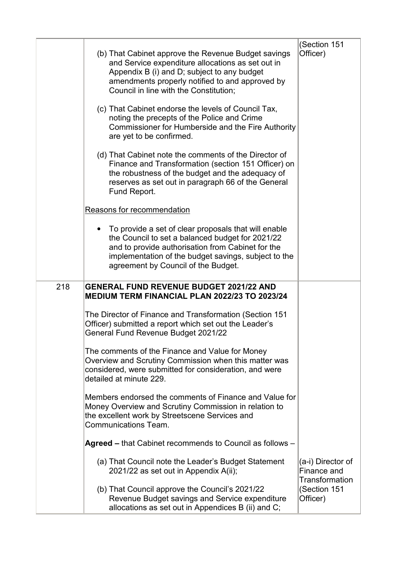|     | (b) That Cabinet approve the Revenue Budget savings<br>and Service expenditure allocations as set out in<br>Appendix B (i) and D; subject to any budget<br>amendments properly notified to and approved by<br>Council in line with the Constitution;<br>(c) That Cabinet endorse the levels of Council Tax,<br>noting the precepts of the Police and Crime<br>Commissioner for Humberside and the Fire Authority<br>are yet to be confirmed.<br>(d) That Cabinet note the comments of the Director of<br>Finance and Transformation (section 151 Officer) on<br>the robustness of the budget and the adequacy of<br>reserves as set out in paragraph 66 of the General | (Section 151<br>Officer)                           |
|-----|------------------------------------------------------------------------------------------------------------------------------------------------------------------------------------------------------------------------------------------------------------------------------------------------------------------------------------------------------------------------------------------------------------------------------------------------------------------------------------------------------------------------------------------------------------------------------------------------------------------------------------------------------------------------|----------------------------------------------------|
|     | Fund Report.<br>Reasons for recommendation                                                                                                                                                                                                                                                                                                                                                                                                                                                                                                                                                                                                                             |                                                    |
|     | To provide a set of clear proposals that will enable<br>the Council to set a balanced budget for 2021/22<br>and to provide authorisation from Cabinet for the<br>implementation of the budget savings, subject to the<br>agreement by Council of the Budget.                                                                                                                                                                                                                                                                                                                                                                                                           |                                                    |
| 218 | <b>GENERAL FUND REVENUE BUDGET 2021/22 AND</b><br><b>MEDIUM TERM FINANCIAL PLAN 2022/23 TO 2023/24</b>                                                                                                                                                                                                                                                                                                                                                                                                                                                                                                                                                                 |                                                    |
|     | The Director of Finance and Transformation (Section 151<br>Officer) submitted a report which set out the Leader's<br>General Fund Revenue Budget 2021/22                                                                                                                                                                                                                                                                                                                                                                                                                                                                                                               |                                                    |
|     | The comments of the Finance and Value for Money<br>Overview and Scrutiny Commission when this matter was<br>considered, were submitted for consideration, and were<br>detailed at minute 229.                                                                                                                                                                                                                                                                                                                                                                                                                                                                          |                                                    |
|     | Members endorsed the comments of Finance and Value for<br>Money Overview and Scrutiny Commission in relation to<br>the excellent work by Streetscene Services and<br><b>Communications Team.</b>                                                                                                                                                                                                                                                                                                                                                                                                                                                                       |                                                    |
|     | Agreed – that Cabinet recommends to Council as follows –                                                                                                                                                                                                                                                                                                                                                                                                                                                                                                                                                                                                               |                                                    |
|     | (a) That Council note the Leader's Budget Statement<br>2021/22 as set out in Appendix A(ii);                                                                                                                                                                                                                                                                                                                                                                                                                                                                                                                                                                           | (a-i) Director of<br>Finance and<br>Transformation |
|     | (b) That Council approve the Council's 2021/22<br>Revenue Budget savings and Service expenditure<br>allocations as set out in Appendices B (ii) and C;                                                                                                                                                                                                                                                                                                                                                                                                                                                                                                                 | (Section 151<br>Officer)                           |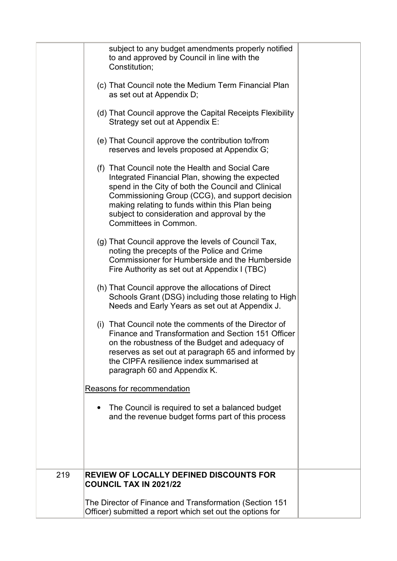|     | subject to any budget amendments properly notified<br>to and approved by Council in line with the<br>Constitution;<br>(c) That Council note the Medium Term Financial Plan<br>as set out at Appendix D;<br>(d) That Council approve the Capital Receipts Flexibility<br>Strategy set out at Appendix E:<br>(e) That Council approve the contribution to/from<br>reserves and levels proposed at Appendix G;<br>(f) That Council note the Health and Social Care<br>Integrated Financial Plan, showing the expected<br>spend in the City of both the Council and Clinical<br>Commissioning Group (CCG), and support decision<br>making relating to funds within this Plan being<br>subject to consideration and approval by the<br>Committees in Common.<br>(g) That Council approve the levels of Council Tax,<br>noting the precepts of the Police and Crime<br>Commissioner for Humberside and the Humberside<br>Fire Authority as set out at Appendix I (TBC)<br>(h) That Council approve the allocations of Direct<br>Schools Grant (DSG) including those relating to High<br>Needs and Early Years as set out at Appendix J.<br>That Council note the comments of the Director of<br>(i)<br>Finance and Transformation and Section 151 Officer<br>on the robustness of the Budget and adequacy of<br>reserves as set out at paragraph 65 and informed by<br>the CIPFA resilience index summarised at<br>paragraph 60 and Appendix K.<br>Reasons for recommendation<br>The Council is required to set a balanced budget<br>and the revenue budget forms part of this process |  |
|-----|----------------------------------------------------------------------------------------------------------------------------------------------------------------------------------------------------------------------------------------------------------------------------------------------------------------------------------------------------------------------------------------------------------------------------------------------------------------------------------------------------------------------------------------------------------------------------------------------------------------------------------------------------------------------------------------------------------------------------------------------------------------------------------------------------------------------------------------------------------------------------------------------------------------------------------------------------------------------------------------------------------------------------------------------------------------------------------------------------------------------------------------------------------------------------------------------------------------------------------------------------------------------------------------------------------------------------------------------------------------------------------------------------------------------------------------------------------------------------------------------------------------------------------------------------------------------------------|--|
| 219 | REVIEW OF LOCALLY DEFINED DISCOUNTS FOR<br><b>COUNCIL TAX IN 2021/22</b>                                                                                                                                                                                                                                                                                                                                                                                                                                                                                                                                                                                                                                                                                                                                                                                                                                                                                                                                                                                                                                                                                                                                                                                                                                                                                                                                                                                                                                                                                                         |  |
|     | The Director of Finance and Transformation (Section 151<br>Officer) submitted a report which set out the options for                                                                                                                                                                                                                                                                                                                                                                                                                                                                                                                                                                                                                                                                                                                                                                                                                                                                                                                                                                                                                                                                                                                                                                                                                                                                                                                                                                                                                                                             |  |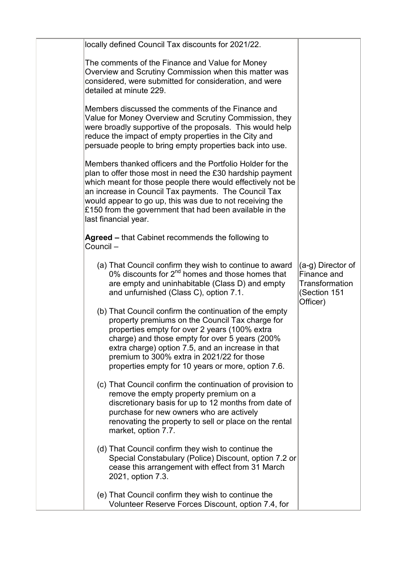| locally defined Council Tax discounts for 2021/22.                                                                                                                                                                                                                                                                                                                                           |                                                                                |
|----------------------------------------------------------------------------------------------------------------------------------------------------------------------------------------------------------------------------------------------------------------------------------------------------------------------------------------------------------------------------------------------|--------------------------------------------------------------------------------|
| The comments of the Finance and Value for Money<br>Overview and Scrutiny Commission when this matter was<br>considered, were submitted for consideration, and were<br>detailed at minute 229.                                                                                                                                                                                                |                                                                                |
| Members discussed the comments of the Finance and<br>Value for Money Overview and Scrutiny Commission, they<br>were broadly supportive of the proposals. This would help<br>reduce the impact of empty properties in the City and<br>persuade people to bring empty properties back into use.                                                                                                |                                                                                |
| Members thanked officers and the Portfolio Holder for the<br>plan to offer those most in need the £30 hardship payment<br>which meant for those people there would effectively not be<br>an increase in Council Tax payments. The Council Tax<br>would appear to go up, this was due to not receiving the<br>£150 from the government that had been available in the<br>last financial year. |                                                                                |
| Agreed – that Cabinet recommends the following to<br>Council-                                                                                                                                                                                                                                                                                                                                |                                                                                |
| (a) That Council confirm they wish to continue to award<br>0% discounts for $2^{nd}$ homes and those homes that<br>are empty and uninhabitable (Class D) and empty<br>and unfurnished (Class C), option 7.1.                                                                                                                                                                                 | (a-g) Director of<br>Finance and<br>Transformation<br>(Section 151<br>Officer) |
| (b) That Council confirm the continuation of the empty<br>property premiums on the Council Tax charge for<br>properties empty for over 2 years (100% extra<br>charge) and those empty for over 5 years (200%<br>extra charge) option 7.5, and an increase in that<br>premium to 300% extra in 2021/22 for those<br>properties empty for 10 years or more, option 7.6.                        |                                                                                |
| (c) That Council confirm the continuation of provision to<br>remove the empty property premium on a<br>discretionary basis for up to 12 months from date of<br>purchase for new owners who are actively<br>renovating the property to sell or place on the rental<br>market, option 7.7.                                                                                                     |                                                                                |
| (d) That Council confirm they wish to continue the<br>Special Constabulary (Police) Discount, option 7.2 or<br>cease this arrangement with effect from 31 March<br>2021, option 7.3.                                                                                                                                                                                                         |                                                                                |
| (e) That Council confirm they wish to continue the<br>Volunteer Reserve Forces Discount, option 7.4, for                                                                                                                                                                                                                                                                                     |                                                                                |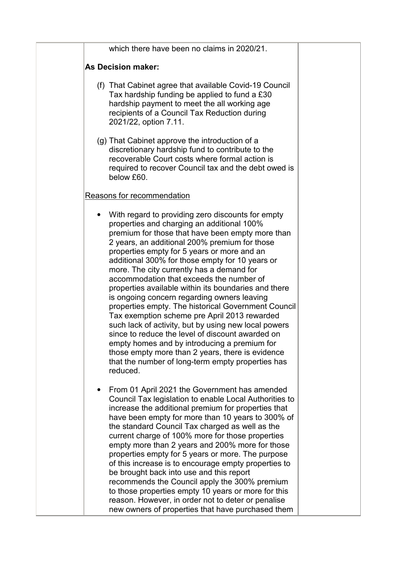| which there have been no claims in 2020/21.                                                                                                                                                                                                                                                                                                                                                                                                                                                                                                                                                                                                                                                                                                                                                                                                                                                    |
|------------------------------------------------------------------------------------------------------------------------------------------------------------------------------------------------------------------------------------------------------------------------------------------------------------------------------------------------------------------------------------------------------------------------------------------------------------------------------------------------------------------------------------------------------------------------------------------------------------------------------------------------------------------------------------------------------------------------------------------------------------------------------------------------------------------------------------------------------------------------------------------------|
| <b>As Decision maker:</b>                                                                                                                                                                                                                                                                                                                                                                                                                                                                                                                                                                                                                                                                                                                                                                                                                                                                      |
| (f) That Cabinet agree that available Covid-19 Council<br>Tax hardship funding be applied to fund a £30<br>hardship payment to meet the all working age<br>recipients of a Council Tax Reduction during<br>2021/22, option 7.11.                                                                                                                                                                                                                                                                                                                                                                                                                                                                                                                                                                                                                                                               |
| (g) That Cabinet approve the introduction of a<br>discretionary hardship fund to contribute to the<br>recoverable Court costs where formal action is<br>required to recover Council tax and the debt owed is<br>below £60.                                                                                                                                                                                                                                                                                                                                                                                                                                                                                                                                                                                                                                                                     |
| Reasons for recommendation                                                                                                                                                                                                                                                                                                                                                                                                                                                                                                                                                                                                                                                                                                                                                                                                                                                                     |
| With regard to providing zero discounts for empty<br>properties and charging an additional 100%<br>premium for those that have been empty more than<br>2 years, an additional 200% premium for those<br>properties empty for 5 years or more and an<br>additional 300% for those empty for 10 years or<br>more. The city currently has a demand for<br>accommodation that exceeds the number of<br>properties available within its boundaries and there<br>is ongoing concern regarding owners leaving<br>properties empty. The historical Government Council<br>Tax exemption scheme pre April 2013 rewarded<br>such lack of activity, but by using new local powers<br>since to reduce the level of discount awarded on<br>empty homes and by introducing a premium for<br>those empty more than 2 years, there is evidence<br>that the number of long-term empty properties has<br>reduced. |
| From 01 April 2021 the Government has amended<br>$\bullet$<br>Council Tax legislation to enable Local Authorities to<br>increase the additional premium for properties that<br>have been empty for more than 10 years to 300% of<br>the standard Council Tax charged as well as the<br>current charge of 100% more for those properties<br>empty more than 2 years and 200% more for those<br>properties empty for 5 years or more. The purpose<br>of this increase is to encourage empty properties to<br>be brought back into use and this report<br>recommends the Council apply the 300% premium<br>to those properties empty 10 years or more for this<br>reason. However, in order not to deter or penalise<br>new owners of properties that have purchased them                                                                                                                         |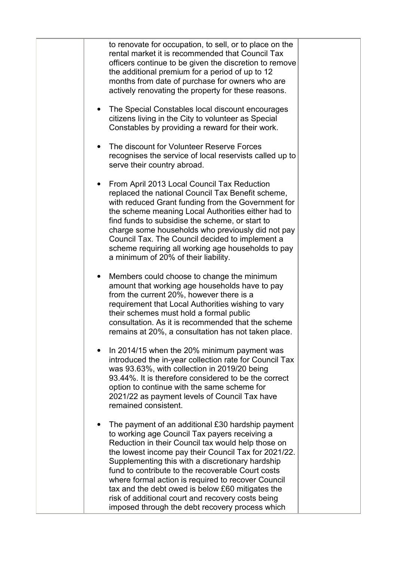| to renovate for occupation, to sell, or to place on the<br>rental market it is recommended that Council Tax<br>officers continue to be given the discretion to remove<br>the additional premium for a period of up to 12<br>months from date of purchase for owners who are<br>actively renovating the property for these reasons.                                                                                                                                                                                                          |  |
|---------------------------------------------------------------------------------------------------------------------------------------------------------------------------------------------------------------------------------------------------------------------------------------------------------------------------------------------------------------------------------------------------------------------------------------------------------------------------------------------------------------------------------------------|--|
| The Special Constables local discount encourages<br>citizens living in the City to volunteer as Special<br>Constables by providing a reward for their work.                                                                                                                                                                                                                                                                                                                                                                                 |  |
| The discount for Volunteer Reserve Forces<br>$\bullet$<br>recognises the service of local reservists called up to<br>serve their country abroad.                                                                                                                                                                                                                                                                                                                                                                                            |  |
| From April 2013 Local Council Tax Reduction<br>replaced the national Council Tax Benefit scheme,<br>with reduced Grant funding from the Government for<br>the scheme meaning Local Authorities either had to<br>find funds to subsidise the scheme, or start to<br>charge some households who previously did not pay<br>Council Tax. The Council decided to implement a<br>scheme requiring all working age households to pay<br>a minimum of 20% of their liability.                                                                       |  |
| Members could choose to change the minimum<br>amount that working age households have to pay<br>from the current 20%, however there is a<br>requirement that Local Authorities wishing to vary<br>their schemes must hold a formal public<br>consultation. As it is recommended that the scheme<br>remains at 20%, a consultation has not taken place.                                                                                                                                                                                      |  |
| In 2014/15 when the 20% minimum payment was<br>introduced the in-year collection rate for Council Tax<br>was 93.63%, with collection in 2019/20 being<br>93.44%. It is therefore considered to be the correct<br>option to continue with the same scheme for<br>2021/22 as payment levels of Council Tax have<br>remained consistent.                                                                                                                                                                                                       |  |
| The payment of an additional £30 hardship payment<br>to working age Council Tax payers receiving a<br>Reduction in their Council tax would help those on<br>the lowest income pay their Council Tax for 2021/22.<br>Supplementing this with a discretionary hardship<br>fund to contribute to the recoverable Court costs<br>where formal action is required to recover Council<br>tax and the debt owed is below £60 mitigates the<br>risk of additional court and recovery costs being<br>imposed through the debt recovery process which |  |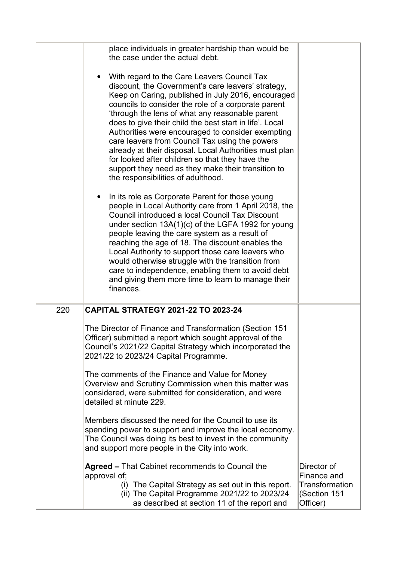|     | place individuals in greater hardship than would be<br>the case under the actual debt.                                                                                                                                                                                                                                                                                                                                                                                                                                                                                                                                                       |                                                                          |
|-----|----------------------------------------------------------------------------------------------------------------------------------------------------------------------------------------------------------------------------------------------------------------------------------------------------------------------------------------------------------------------------------------------------------------------------------------------------------------------------------------------------------------------------------------------------------------------------------------------------------------------------------------------|--------------------------------------------------------------------------|
|     | With regard to the Care Leavers Council Tax<br>discount, the Government's care leavers' strategy,<br>Keep on Caring, published in July 2016, encouraged<br>councils to consider the role of a corporate parent<br>'through the lens of what any reasonable parent<br>does to give their child the best start in life'. Local<br>Authorities were encouraged to consider exempting<br>care leavers from Council Tax using the powers<br>already at their disposal. Local Authorities must plan<br>for looked after children so that they have the<br>support they need as they make their transition to<br>the responsibilities of adulthood. |                                                                          |
|     | In its role as Corporate Parent for those young<br>people in Local Authority care from 1 April 2018, the<br>Council introduced a local Council Tax Discount<br>under section $13A(1)(c)$ of the LGFA 1992 for young<br>people leaving the care system as a result of<br>reaching the age of 18. The discount enables the<br>Local Authority to support those care leavers who<br>would otherwise struggle with the transition from<br>care to independence, enabling them to avoid debt<br>and giving them more time to learn to manage their<br>finances.                                                                                   |                                                                          |
| 220 | <b>CAPITAL STRATEGY 2021-22 TO 2023-24</b>                                                                                                                                                                                                                                                                                                                                                                                                                                                                                                                                                                                                   |                                                                          |
|     | The Director of Finance and Transformation (Section 151<br>Officer) submitted a report which sought approval of the<br>Council's 2021/22 Capital Strategy which incorporated the<br>2021/22 to 2023/24 Capital Programme.                                                                                                                                                                                                                                                                                                                                                                                                                    |                                                                          |
|     | The comments of the Finance and Value for Money<br>Overview and Scrutiny Commission when this matter was<br>considered, were submitted for consideration, and were<br>detailed at minute 229.                                                                                                                                                                                                                                                                                                                                                                                                                                                |                                                                          |
|     | Members discussed the need for the Council to use its<br>spending power to support and improve the local economy.<br>The Council was doing its best to invest in the community<br>and support more people in the City into work.                                                                                                                                                                                                                                                                                                                                                                                                             |                                                                          |
|     | Agreed - That Cabinet recommends to Council the<br>approval of;<br>(i) The Capital Strategy as set out in this report.<br>(ii) The Capital Programme 2021/22 to 2023/24<br>as described at section 11 of the report and                                                                                                                                                                                                                                                                                                                                                                                                                      | Director of<br>Finance and<br>Transformation<br>(Section 151<br>Officer) |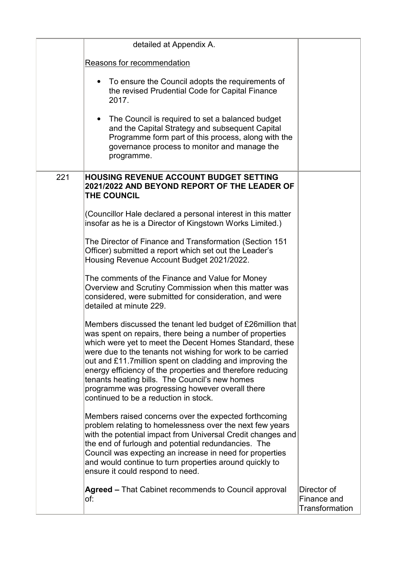|     | detailed at Appendix A.                                                                                                                                                                                                                                                                                                                                                                                                                                                                                                   |                                                     |
|-----|---------------------------------------------------------------------------------------------------------------------------------------------------------------------------------------------------------------------------------------------------------------------------------------------------------------------------------------------------------------------------------------------------------------------------------------------------------------------------------------------------------------------------|-----------------------------------------------------|
|     | Reasons for recommendation                                                                                                                                                                                                                                                                                                                                                                                                                                                                                                |                                                     |
|     | To ensure the Council adopts the requirements of<br>$\bullet$<br>the revised Prudential Code for Capital Finance<br>2017.                                                                                                                                                                                                                                                                                                                                                                                                 |                                                     |
|     | The Council is required to set a balanced budget<br>$\bullet$<br>and the Capital Strategy and subsequent Capital<br>Programme form part of this process, along with the<br>governance process to monitor and manage the<br>programme.                                                                                                                                                                                                                                                                                     |                                                     |
| 221 | <b>HOUSING REVENUE ACCOUNT BUDGET SETTING</b><br>2021/2022 AND BEYOND REPORT OF THE LEADER OF<br>THE COUNCIL                                                                                                                                                                                                                                                                                                                                                                                                              |                                                     |
|     | (Councillor Hale declared a personal interest in this matter<br>insofar as he is a Director of Kingstown Works Limited.)                                                                                                                                                                                                                                                                                                                                                                                                  |                                                     |
|     | The Director of Finance and Transformation (Section 151<br>Officer) submitted a report which set out the Leader's<br>Housing Revenue Account Budget 2021/2022.                                                                                                                                                                                                                                                                                                                                                            |                                                     |
|     | The comments of the Finance and Value for Money<br>Overview and Scrutiny Commission when this matter was<br>considered, were submitted for consideration, and were<br>detailed at minute 229.                                                                                                                                                                                                                                                                                                                             |                                                     |
|     | Members discussed the tenant led budget of £26 million that<br>was spent on repairs, there being a number of properties<br>which were yet to meet the Decent Homes Standard, these<br>were due to the tenants not wishing for work to be carried<br>out and £11.7 million spent on cladding and improving the<br>energy efficiency of the properties and therefore reducing<br>tenants heating bills. The Council's new homes<br>programme was progressing however overall there<br>continued to be a reduction in stock. |                                                     |
|     | Members raised concerns over the expected forthcoming<br>problem relating to homelessness over the next few years<br>with the potential impact from Universal Credit changes and<br>the end of furlough and potential redundancies. The<br>Council was expecting an increase in need for properties<br>and would continue to turn properties around quickly to<br>ensure it could respond to need.                                                                                                                        |                                                     |
|     | Agreed – That Cabinet recommends to Council approval<br>of:                                                                                                                                                                                                                                                                                                                                                                                                                                                               | Director of<br>Finance and<br><b>Transformation</b> |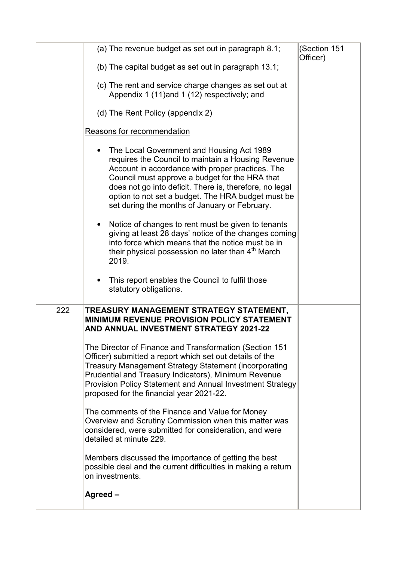|     | (a) The revenue budget as set out in paragraph 8.1;                                                                                                                                                                                                                                                                                                                     | (Section 151<br>Officer) |
|-----|-------------------------------------------------------------------------------------------------------------------------------------------------------------------------------------------------------------------------------------------------------------------------------------------------------------------------------------------------------------------------|--------------------------|
|     | (b) The capital budget as set out in paragraph 13.1;                                                                                                                                                                                                                                                                                                                    |                          |
|     | (c) The rent and service charge changes as set out at<br>Appendix 1 (11) and 1 (12) respectively; and                                                                                                                                                                                                                                                                   |                          |
|     | (d) The Rent Policy (appendix 2)                                                                                                                                                                                                                                                                                                                                        |                          |
|     | Reasons for recommendation                                                                                                                                                                                                                                                                                                                                              |                          |
|     | The Local Government and Housing Act 1989<br>requires the Council to maintain a Housing Revenue<br>Account in accordance with proper practices. The<br>Council must approve a budget for the HRA that<br>does not go into deficit. There is, therefore, no legal<br>option to not set a budget. The HRA budget must be<br>set during the months of January or February. |                          |
|     | Notice of changes to rent must be given to tenants<br>giving at least 28 days' notice of the changes coming<br>into force which means that the notice must be in<br>their physical possession no later than 4 <sup>th</sup> March<br>2019.                                                                                                                              |                          |
|     | This report enables the Council to fulfil those<br>statutory obligations.                                                                                                                                                                                                                                                                                               |                          |
| 222 | TREASURY MANAGEMENT STRATEGY STATEMENT,                                                                                                                                                                                                                                                                                                                                 |                          |
|     | <b>MINIMUM REVENUE PROVISION POLICY STATEMENT</b><br><b>AND ANNUAL INVESTMENT STRATEGY 2021-22</b>                                                                                                                                                                                                                                                                      |                          |
|     | The Director of Finance and Transformation (Section 151<br>Officer) submitted a report which set out details of the<br>Treasury Management Strategy Statement (incorporating<br>Prudential and Treasury Indicators), Minimum Revenue<br>Provision Policy Statement and Annual Investment Strategy<br>proposed for the financial year 2021-22.                           |                          |
|     | The comments of the Finance and Value for Money<br>Overview and Scrutiny Commission when this matter was<br>considered, were submitted for consideration, and were<br>detailed at minute 229.                                                                                                                                                                           |                          |
|     | Members discussed the importance of getting the best<br>possible deal and the current difficulties in making a return<br>on investments.                                                                                                                                                                                                                                |                          |
|     | Agreed-                                                                                                                                                                                                                                                                                                                                                                 |                          |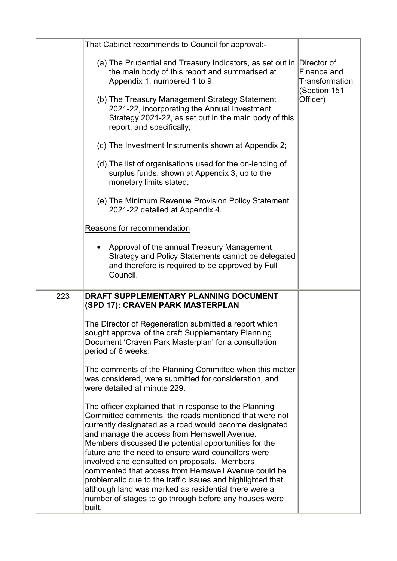|     | That Cabinet recommends to Council for approval:-                                                                                                                                                                                                                                                                                                                                                                                                                                                             |                                               |
|-----|---------------------------------------------------------------------------------------------------------------------------------------------------------------------------------------------------------------------------------------------------------------------------------------------------------------------------------------------------------------------------------------------------------------------------------------------------------------------------------------------------------------|-----------------------------------------------|
|     | (a) The Prudential and Treasury Indicators, as set out in Director of<br>the main body of this report and summarised at<br>Appendix 1, numbered 1 to 9;                                                                                                                                                                                                                                                                                                                                                       | Finance and<br>Transformation<br>(Section 151 |
|     | (b) The Treasury Management Strategy Statement<br>2021-22, incorporating the Annual Investment<br>Strategy 2021-22, as set out in the main body of this<br>report, and specifically;                                                                                                                                                                                                                                                                                                                          | Officer)                                      |
|     | (c) The Investment Instruments shown at Appendix 2;                                                                                                                                                                                                                                                                                                                                                                                                                                                           |                                               |
|     | (d) The list of organisations used for the on-lending of<br>surplus funds, shown at Appendix 3, up to the<br>monetary limits stated;                                                                                                                                                                                                                                                                                                                                                                          |                                               |
|     | (e) The Minimum Revenue Provision Policy Statement<br>2021-22 detailed at Appendix 4.                                                                                                                                                                                                                                                                                                                                                                                                                         |                                               |
|     | Reasons for recommendation                                                                                                                                                                                                                                                                                                                                                                                                                                                                                    |                                               |
|     | Approval of the annual Treasury Management<br>Strategy and Policy Statements cannot be delegated<br>and therefore is required to be approved by Full<br>Council.                                                                                                                                                                                                                                                                                                                                              |                                               |
| 223 | DRAFT SUPPLEMENTARY PLANNING DOCUMENT<br>(SPD 17): CRAVEN PARK MASTERPLAN                                                                                                                                                                                                                                                                                                                                                                                                                                     |                                               |
|     | The Director of Regeneration submitted a report which<br>sought approval of the draft Supplementary Planning<br>Document 'Craven Park Masterplan' for a consultation<br>period of 6 weeks.                                                                                                                                                                                                                                                                                                                    |                                               |
|     | The comments of the Planning Committee when this matter<br>was considered, were submitted for consideration, and<br>were detailed at minute 229.                                                                                                                                                                                                                                                                                                                                                              |                                               |
|     | The officer explained that in response to the Planning<br>Committee comments, the roads mentioned that were not<br>currently designated as a road would become designated<br>and manage the access from Hemswell Avenue.<br>Members discussed the potential opportunities for the<br>future and the need to ensure ward councillors were<br>involved and consulted on proposals. Members<br>commented that access from Hemswell Avenue could be<br>problematic due to the traffic issues and highlighted that |                                               |
|     | although land was marked as residential there were a<br>number of stages to go through before any houses were<br>built.                                                                                                                                                                                                                                                                                                                                                                                       |                                               |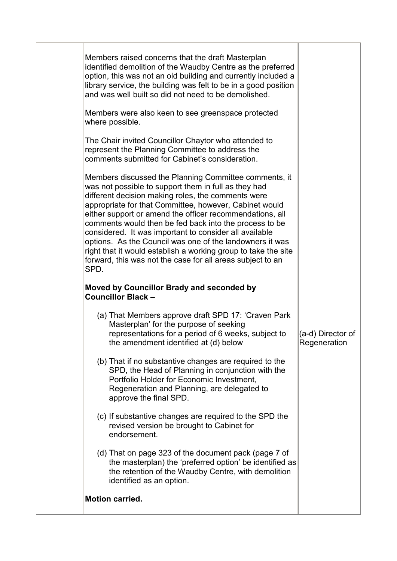| Members raised concerns that the draft Masterplan<br>identified demolition of the Waudby Centre as the preferred<br>option, this was not an old building and currently included a<br>library service, the building was felt to be in a good position<br>and was well built so did not need to be demolished.<br>Members were also keen to see greenspace protected<br>where possible.<br>The Chair invited Councillor Chaytor who attended to<br>represent the Planning Committee to address the<br>comments submitted for Cabinet's consideration.<br>Members discussed the Planning Committee comments, it<br>was not possible to support them in full as they had<br>different decision making roles, the comments were<br>appropriate for that Committee, however, Cabinet would<br>either support or amend the officer recommendations, all<br>comments would then be fed back into the process to be<br>considered. It was important to consider all available |                                   |
|----------------------------------------------------------------------------------------------------------------------------------------------------------------------------------------------------------------------------------------------------------------------------------------------------------------------------------------------------------------------------------------------------------------------------------------------------------------------------------------------------------------------------------------------------------------------------------------------------------------------------------------------------------------------------------------------------------------------------------------------------------------------------------------------------------------------------------------------------------------------------------------------------------------------------------------------------------------------|-----------------------------------|
| options. As the Council was one of the landowners it was<br>right that it would establish a working group to take the site<br>forward, this was not the case for all areas subject to an<br>SPD.                                                                                                                                                                                                                                                                                                                                                                                                                                                                                                                                                                                                                                                                                                                                                                     |                                   |
| Moved by Councillor Brady and seconded by<br><b>Councillor Black -</b>                                                                                                                                                                                                                                                                                                                                                                                                                                                                                                                                                                                                                                                                                                                                                                                                                                                                                               |                                   |
| (a) That Members approve draft SPD 17: 'Craven Park<br>Masterplan' for the purpose of seeking<br>representations for a period of 6 weeks, subject to<br>the amendment identified at (d) below                                                                                                                                                                                                                                                                                                                                                                                                                                                                                                                                                                                                                                                                                                                                                                        | (a-d) Director of<br>Regeneration |
| (b) That if no substantive changes are required to the<br>SPD, the Head of Planning in conjunction with the<br>Portfolio Holder for Economic Investment,<br>Regeneration and Planning, are delegated to<br>approve the final SPD.                                                                                                                                                                                                                                                                                                                                                                                                                                                                                                                                                                                                                                                                                                                                    |                                   |
| (c) If substantive changes are required to the SPD the<br>revised version be brought to Cabinet for<br>endorsement.                                                                                                                                                                                                                                                                                                                                                                                                                                                                                                                                                                                                                                                                                                                                                                                                                                                  |                                   |
| (d) That on page 323 of the document pack (page 7 of<br>the masterplan) the 'preferred option' be identified as<br>the retention of the Waudby Centre, with demolition<br>identified as an option.                                                                                                                                                                                                                                                                                                                                                                                                                                                                                                                                                                                                                                                                                                                                                                   |                                   |
| <b>Motion carried.</b>                                                                                                                                                                                                                                                                                                                                                                                                                                                                                                                                                                                                                                                                                                                                                                                                                                                                                                                                               |                                   |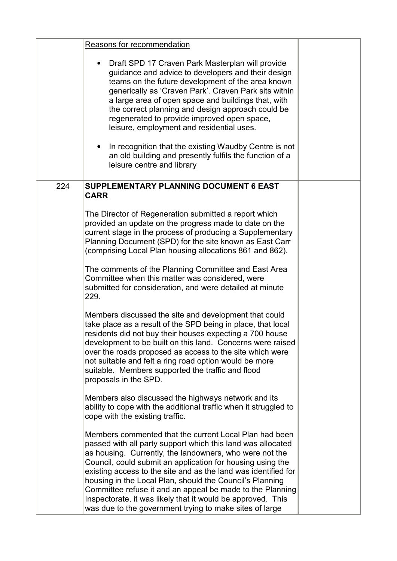|     | Reasons for recommendation                                                                                                                                                                                                                                                                                                                                                                                                                                                                                                                                          |  |
|-----|---------------------------------------------------------------------------------------------------------------------------------------------------------------------------------------------------------------------------------------------------------------------------------------------------------------------------------------------------------------------------------------------------------------------------------------------------------------------------------------------------------------------------------------------------------------------|--|
|     | Draft SPD 17 Craven Park Masterplan will provide<br>guidance and advice to developers and their design<br>teams on the future development of the area known<br>generically as 'Craven Park'. Craven Park sits within<br>a large area of open space and buildings that, with<br>the correct planning and design approach could be<br>regenerated to provide improved open space,<br>leisure, employment and residential uses.<br>In recognition that the existing Waudby Centre is not                                                                               |  |
|     | an old building and presently fulfils the function of a<br>leisure centre and library                                                                                                                                                                                                                                                                                                                                                                                                                                                                               |  |
| 224 | SUPPLEMENTARY PLANNING DOCUMENT 6 EAST<br><b>CARR</b>                                                                                                                                                                                                                                                                                                                                                                                                                                                                                                               |  |
|     | The Director of Regeneration submitted a report which<br>provided an update on the progress made to date on the<br>current stage in the process of producing a Supplementary<br>Planning Document (SPD) for the site known as East Carr<br>(comprising Local Plan housing allocations 861 and 862).                                                                                                                                                                                                                                                                 |  |
|     | The comments of the Planning Committee and East Area<br>Committee when this matter was considered, were<br>submitted for consideration, and were detailed at minute<br>229.                                                                                                                                                                                                                                                                                                                                                                                         |  |
|     | Members discussed the site and development that could<br>take place as a result of the SPD being in place, that local<br>residents did not buy their houses expecting a 700 house<br>development to be built on this land. Concerns were raised<br>over the roads proposed as access to the site which were<br>not suitable and felt a ring road option would be more<br>suitable. Members supported the traffic and flood<br>proposals in the SPD.                                                                                                                 |  |
|     | Members also discussed the highways network and its<br>ability to cope with the additional traffic when it struggled to<br>cope with the existing traffic.                                                                                                                                                                                                                                                                                                                                                                                                          |  |
|     | Members commented that the current Local Plan had been<br>passed with all party support which this land was allocated<br>as housing. Currently, the landowners, who were not the<br>Council, could submit an application for housing using the<br>existing access to the site and as the land was identified for<br>housing in the Local Plan, should the Council's Planning<br>Committee refuse it and an appeal be made to the Planning<br>Inspectorate, it was likely that it would be approved. This<br>was due to the government trying to make sites of large |  |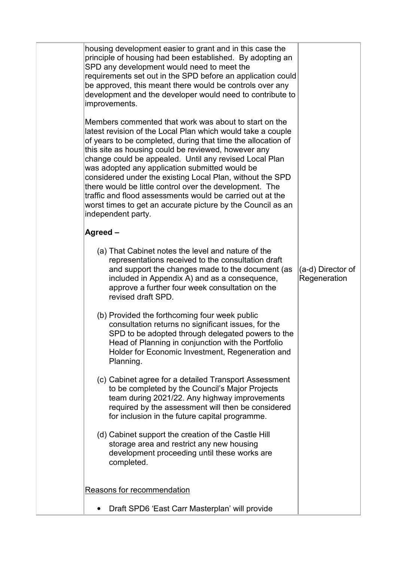| housing development easier to grant and in this case the<br>principle of housing had been established. By adopting an<br>SPD any development would need to meet the<br>requirements set out in the SPD before an application could<br>be approved, this meant there would be controls over any<br>development and the developer would need to contribute to<br>improvements.                                                                                                                                                                                                                                                      |                                   |
|-----------------------------------------------------------------------------------------------------------------------------------------------------------------------------------------------------------------------------------------------------------------------------------------------------------------------------------------------------------------------------------------------------------------------------------------------------------------------------------------------------------------------------------------------------------------------------------------------------------------------------------|-----------------------------------|
| Members commented that work was about to start on the<br>latest revision of the Local Plan which would take a couple<br>of years to be completed, during that time the allocation of<br>this site as housing could be reviewed, however any<br>change could be appealed. Until any revised Local Plan<br>was adopted any application submitted would be<br>considered under the existing Local Plan, without the SPD<br>there would be little control over the development. The<br>traffic and flood assessments would be carried out at the<br>worst times to get an accurate picture by the Council as an<br>independent party. |                                   |
| Agreed -                                                                                                                                                                                                                                                                                                                                                                                                                                                                                                                                                                                                                          |                                   |
| (a) That Cabinet notes the level and nature of the<br>representations received to the consultation draft<br>and support the changes made to the document (as<br>included in Appendix A) and as a consequence,<br>approve a further four week consultation on the<br>revised draft SPD.                                                                                                                                                                                                                                                                                                                                            | (a-d) Director of<br>Regeneration |
| (b) Provided the forthcoming four week public<br>consultation returns no significant issues, for the<br>SPD to be adopted through delegated powers to the<br>Head of Planning in conjunction with the Portfolio<br>Holder for Economic Investment, Regeneration and<br>Planning.                                                                                                                                                                                                                                                                                                                                                  |                                   |
| (c) Cabinet agree for a detailed Transport Assessment<br>to be completed by the Council's Major Projects<br>team during 2021/22. Any highway improvements<br>required by the assessment will then be considered<br>for inclusion in the future capital programme.                                                                                                                                                                                                                                                                                                                                                                 |                                   |
| (d) Cabinet support the creation of the Castle Hill<br>storage area and restrict any new housing<br>development proceeding until these works are<br>completed.                                                                                                                                                                                                                                                                                                                                                                                                                                                                    |                                   |
| Reasons for recommendation                                                                                                                                                                                                                                                                                                                                                                                                                                                                                                                                                                                                        |                                   |
| Draft SPD6 'East Carr Masterplan' will provide                                                                                                                                                                                                                                                                                                                                                                                                                                                                                                                                                                                    |                                   |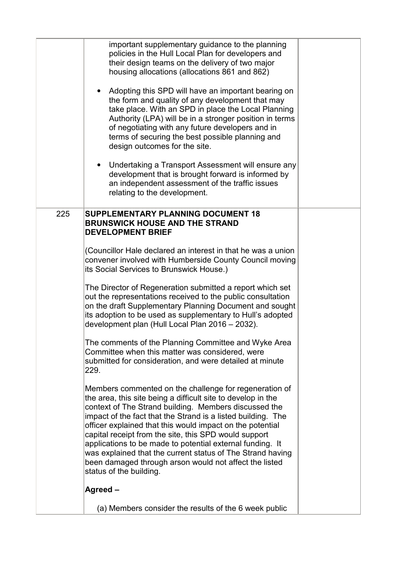|     | important supplementary guidance to the planning<br>policies in the Hull Local Plan for developers and<br>their design teams on the delivery of two major<br>housing allocations (allocations 861 and 862)<br>Adopting this SPD will have an important bearing on<br>the form and quality of any development that may<br>take place. With an SPD in place the Local Planning<br>Authority (LPA) will be in a stronger position in terms<br>of negotiating with any future developers and in<br>terms of securing the best possible planning and<br>design outcomes for the site.<br>Undertaking a Transport Assessment will ensure any<br>development that is brought forward is informed by<br>an independent assessment of the traffic issues<br>relating to the development.                                                                                                                                                                                                                                                                                                                                                                                                                                                                                                                                                                                                  |  |
|-----|----------------------------------------------------------------------------------------------------------------------------------------------------------------------------------------------------------------------------------------------------------------------------------------------------------------------------------------------------------------------------------------------------------------------------------------------------------------------------------------------------------------------------------------------------------------------------------------------------------------------------------------------------------------------------------------------------------------------------------------------------------------------------------------------------------------------------------------------------------------------------------------------------------------------------------------------------------------------------------------------------------------------------------------------------------------------------------------------------------------------------------------------------------------------------------------------------------------------------------------------------------------------------------------------------------------------------------------------------------------------------------|--|
| 225 | <b>SUPPLEMENTARY PLANNING DOCUMENT 18</b><br><b>BRUNSWICK HOUSE AND THE STRAND</b><br><b>DEVELOPMENT BRIEF</b><br>(Councillor Hale declared an interest in that he was a union<br>convener involved with Humberside County Council moving<br>its Social Services to Brunswick House.)<br>The Director of Regeneration submitted a report which set<br>out the representations received to the public consultation<br>on the draft Supplementary Planning Document and sought<br>its adoption to be used as supplementary to Hull's adopted<br>development plan (Hull Local Plan 2016 - 2032).<br>The comments of the Planning Committee and Wyke Area<br>Committee when this matter was considered, were<br>submitted for consideration, and were detailed at minute<br>229.<br>Members commented on the challenge for regeneration of<br>the area, this site being a difficult site to develop in the<br>context of The Strand building. Members discussed the<br>impact of the fact that the Strand is a listed building. The<br>officer explained that this would impact on the potential<br>capital receipt from the site, this SPD would support<br>applications to be made to potential external funding. It<br>was explained that the current status of The Strand having<br>been damaged through arson would not affect the listed<br>status of the building.<br>Agreed- |  |
|     | (a) Members consider the results of the 6 week public                                                                                                                                                                                                                                                                                                                                                                                                                                                                                                                                                                                                                                                                                                                                                                                                                                                                                                                                                                                                                                                                                                                                                                                                                                                                                                                            |  |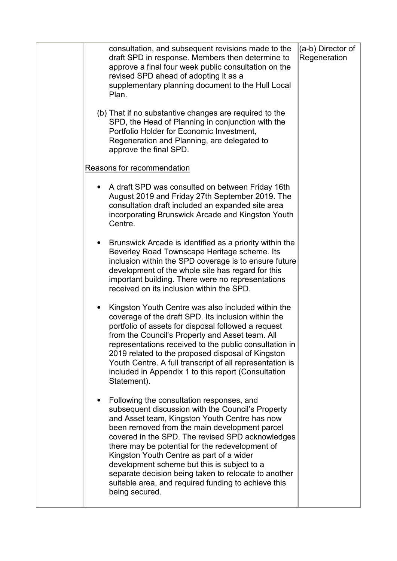|  | consultation, and subsequent revisions made to the<br>draft SPD in response. Members then determine to<br>approve a final four week public consultation on the<br>revised SPD ahead of adopting it as a<br>supplementary planning document to the Hull Local<br>Plan.                                                                                                                                                                                                                                                               | (a-b) Director of<br>Regeneration |
|--|-------------------------------------------------------------------------------------------------------------------------------------------------------------------------------------------------------------------------------------------------------------------------------------------------------------------------------------------------------------------------------------------------------------------------------------------------------------------------------------------------------------------------------------|-----------------------------------|
|  | (b) That if no substantive changes are required to the<br>SPD, the Head of Planning in conjunction with the<br>Portfolio Holder for Economic Investment,<br>Regeneration and Planning, are delegated to<br>approve the final SPD.                                                                                                                                                                                                                                                                                                   |                                   |
|  | Reasons for recommendation                                                                                                                                                                                                                                                                                                                                                                                                                                                                                                          |                                   |
|  | A draft SPD was consulted on between Friday 16th<br>August 2019 and Friday 27th September 2019. The<br>consultation draft included an expanded site area<br>incorporating Brunswick Arcade and Kingston Youth<br>Centre.                                                                                                                                                                                                                                                                                                            |                                   |
|  | Brunswick Arcade is identified as a priority within the<br>Beverley Road Townscape Heritage scheme. Its<br>inclusion within the SPD coverage is to ensure future<br>development of the whole site has regard for this<br>important building. There were no representations<br>received on its inclusion within the SPD.                                                                                                                                                                                                             |                                   |
|  | Kingston Youth Centre was also included within the<br>coverage of the draft SPD. Its inclusion within the<br>portfolio of assets for disposal followed a request<br>from the Council's Property and Asset team. All<br>representations received to the public consultation in<br>2019 related to the proposed disposal of Kingston<br>Youth Centre. A full transcript of all representation is<br>included in Appendix 1 to this report (Consultation<br>Statement).                                                                |                                   |
|  | Following the consultation responses, and<br>subsequent discussion with the Council's Property<br>and Asset team, Kingston Youth Centre has now<br>been removed from the main development parcel<br>covered in the SPD. The revised SPD acknowledges<br>there may be potential for the redevelopment of<br>Kingston Youth Centre as part of a wider<br>development scheme but this is subject to a<br>separate decision being taken to relocate to another<br>suitable area, and required funding to achieve this<br>being secured. |                                   |
|  |                                                                                                                                                                                                                                                                                                                                                                                                                                                                                                                                     |                                   |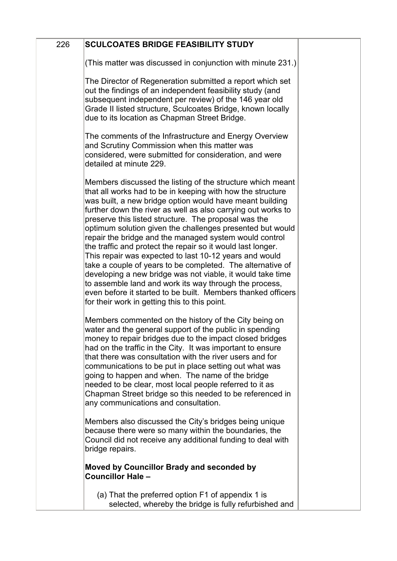| 226 | <b>SCULCOATES BRIDGE FEASIBILITY STUDY</b>                                                                                                                                                                                                                                                                                                                                                                                                                                                                                                                                                                                                                                                                                                                                                                                                                          |  |
|-----|---------------------------------------------------------------------------------------------------------------------------------------------------------------------------------------------------------------------------------------------------------------------------------------------------------------------------------------------------------------------------------------------------------------------------------------------------------------------------------------------------------------------------------------------------------------------------------------------------------------------------------------------------------------------------------------------------------------------------------------------------------------------------------------------------------------------------------------------------------------------|--|
|     | (This matter was discussed in conjunction with minute 231.)                                                                                                                                                                                                                                                                                                                                                                                                                                                                                                                                                                                                                                                                                                                                                                                                         |  |
|     | The Director of Regeneration submitted a report which set<br>out the findings of an independent feasibility study (and<br>subsequent independent per review) of the 146 year old<br>Grade II listed structure, Sculcoates Bridge, known locally<br>due to its location as Chapman Street Bridge.                                                                                                                                                                                                                                                                                                                                                                                                                                                                                                                                                                    |  |
|     | The comments of the Infrastructure and Energy Overview<br>and Scrutiny Commission when this matter was<br>considered, were submitted for consideration, and were<br>detailed at minute 229.                                                                                                                                                                                                                                                                                                                                                                                                                                                                                                                                                                                                                                                                         |  |
|     | Members discussed the listing of the structure which meant<br>that all works had to be in keeping with how the structure<br>was built, a new bridge option would have meant building<br>further down the river as well as also carrying out works to<br>preserve this listed structure. The proposal was the<br>optimum solution given the challenges presented but would<br>repair the bridge and the managed system would control<br>the traffic and protect the repair so it would last longer.<br>This repair was expected to last 10-12 years and would<br>take a couple of years to be completed. The alternative of<br>developing a new bridge was not viable, it would take time<br>to assemble land and work its way through the process,<br>even before it started to be built. Members thanked officers<br>for their work in getting this to this point. |  |
|     | Members commented on the history of the City being on<br>water and the general support of the public in spending<br>money to repair bridges due to the impact closed bridges<br>had on the traffic in the City. It was important to ensure<br>that there was consultation with the river users and for<br>communications to be put in place setting out what was<br>going to happen and when. The name of the bridge<br>needed to be clear, most local people referred to it as<br>Chapman Street bridge so this needed to be referenced in<br>any communications and consultation.                                                                                                                                                                                                                                                                                 |  |
|     | Members also discussed the City's bridges being unique<br>because there were so many within the boundaries, the<br>Council did not receive any additional funding to deal with<br>bridge repairs.                                                                                                                                                                                                                                                                                                                                                                                                                                                                                                                                                                                                                                                                   |  |
|     | <b>Moved by Councillor Brady and seconded by</b><br><b>Councillor Hale -</b>                                                                                                                                                                                                                                                                                                                                                                                                                                                                                                                                                                                                                                                                                                                                                                                        |  |
|     | (a) That the preferred option F1 of appendix 1 is<br>selected, whereby the bridge is fully refurbished and                                                                                                                                                                                                                                                                                                                                                                                                                                                                                                                                                                                                                                                                                                                                                          |  |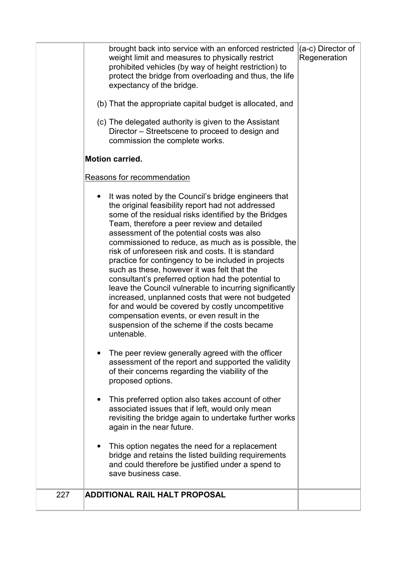|     | brought back into service with an enforced restricted<br>weight limit and measures to physically restrict<br>prohibited vehicles (by way of height restriction) to<br>protect the bridge from overloading and thus, the life<br>expectancy of the bridge.<br>(b) That the appropriate capital budget is allocated, and<br>(c) The delegated authority is given to the Assistant<br>Director – Streetscene to proceed to design and<br>commission the complete works.<br><b>Motion carried.</b><br>Reasons for recommendation<br>It was noted by the Council's bridge engineers that<br>$\bullet$<br>the original feasibility report had not addressed<br>some of the residual risks identified by the Bridges<br>Team, therefore a peer review and detailed<br>assessment of the potential costs was also<br>commissioned to reduce, as much as is possible, the<br>risk of unforeseen risk and costs. It is standard<br>practice for contingency to be included in projects<br>such as these, however it was felt that the<br>consultant's preferred option had the potential to<br>leave the Council vulnerable to incurring significantly<br>increased, unplanned costs that were not budgeted<br>for and would be covered by costly uncompetitive<br>compensation events, or even result in the<br>suspension of the scheme if the costs became<br>untenable.<br>The peer review generally agreed with the officer<br>assessment of the report and supported the validity<br>of their concerns regarding the viability of the<br>proposed options. | (a-c) Director of<br>Regeneration |
|-----|--------------------------------------------------------------------------------------------------------------------------------------------------------------------------------------------------------------------------------------------------------------------------------------------------------------------------------------------------------------------------------------------------------------------------------------------------------------------------------------------------------------------------------------------------------------------------------------------------------------------------------------------------------------------------------------------------------------------------------------------------------------------------------------------------------------------------------------------------------------------------------------------------------------------------------------------------------------------------------------------------------------------------------------------------------------------------------------------------------------------------------------------------------------------------------------------------------------------------------------------------------------------------------------------------------------------------------------------------------------------------------------------------------------------------------------------------------------------------------------------------------------------------------------------------------|-----------------------------------|
|     | This preferred option also takes account of other<br>associated issues that if left, would only mean<br>revisiting the bridge again to undertake further works<br>again in the near future.                                                                                                                                                                                                                                                                                                                                                                                                                                                                                                                                                                                                                                                                                                                                                                                                                                                                                                                                                                                                                                                                                                                                                                                                                                                                                                                                                            |                                   |
|     | This option negates the need for a replacement<br>bridge and retains the listed building requirements<br>and could therefore be justified under a spend to<br>save business case.                                                                                                                                                                                                                                                                                                                                                                                                                                                                                                                                                                                                                                                                                                                                                                                                                                                                                                                                                                                                                                                                                                                                                                                                                                                                                                                                                                      |                                   |
| 227 | <b>ADDITIONAL RAIL HALT PROPOSAL</b>                                                                                                                                                                                                                                                                                                                                                                                                                                                                                                                                                                                                                                                                                                                                                                                                                                                                                                                                                                                                                                                                                                                                                                                                                                                                                                                                                                                                                                                                                                                   |                                   |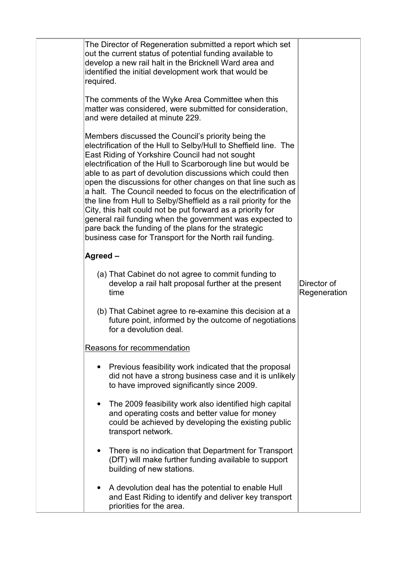| The Director of Regeneration submitted a report which set<br>out the current status of potential funding available to<br>develop a new rail halt in the Bricknell Ward area and<br>identified the initial development work that would be<br>required.                                                                                                                                                                                                                                                                                                                                                                                                                                                                                                    |                             |
|----------------------------------------------------------------------------------------------------------------------------------------------------------------------------------------------------------------------------------------------------------------------------------------------------------------------------------------------------------------------------------------------------------------------------------------------------------------------------------------------------------------------------------------------------------------------------------------------------------------------------------------------------------------------------------------------------------------------------------------------------------|-----------------------------|
| The comments of the Wyke Area Committee when this<br>matter was considered, were submitted for consideration,<br>and were detailed at minute 229.                                                                                                                                                                                                                                                                                                                                                                                                                                                                                                                                                                                                        |                             |
| Members discussed the Council's priority being the<br>electrification of the Hull to Selby/Hull to Sheffield line. The<br>East Riding of Yorkshire Council had not sought<br>electrification of the Hull to Scarborough line but would be<br>able to as part of devolution discussions which could then<br>open the discussions for other changes on that line such as<br>a halt. The Council needed to focus on the electrification of<br>the line from Hull to Selby/Sheffield as a rail priority for the<br>City, this halt could not be put forward as a priority for<br>general rail funding when the government was expected to<br>pare back the funding of the plans for the strategic<br>business case for Transport for the North rail funding. |                             |
| Agreed-                                                                                                                                                                                                                                                                                                                                                                                                                                                                                                                                                                                                                                                                                                                                                  |                             |
| (a) That Cabinet do not agree to commit funding to<br>develop a rail halt proposal further at the present<br>time                                                                                                                                                                                                                                                                                                                                                                                                                                                                                                                                                                                                                                        | Director of<br>Regeneration |
| (b) That Cabinet agree to re-examine this decision at a<br>future point, informed by the outcome of negotiations<br>for a devolution deal.                                                                                                                                                                                                                                                                                                                                                                                                                                                                                                                                                                                                               |                             |
| Reasons for recommendation                                                                                                                                                                                                                                                                                                                                                                                                                                                                                                                                                                                                                                                                                                                               |                             |
| Previous feasibility work indicated that the proposal<br>did not have a strong business case and it is unlikely<br>to have improved significantly since 2009.                                                                                                                                                                                                                                                                                                                                                                                                                                                                                                                                                                                            |                             |
| The 2009 feasibility work also identified high capital<br>and operating costs and better value for money<br>could be achieved by developing the existing public<br>transport network.                                                                                                                                                                                                                                                                                                                                                                                                                                                                                                                                                                    |                             |
| There is no indication that Department for Transport<br>(DfT) will make further funding available to support<br>building of new stations.                                                                                                                                                                                                                                                                                                                                                                                                                                                                                                                                                                                                                |                             |
| A devolution deal has the potential to enable Hull<br>and East Riding to identify and deliver key transport<br>priorities for the area.                                                                                                                                                                                                                                                                                                                                                                                                                                                                                                                                                                                                                  |                             |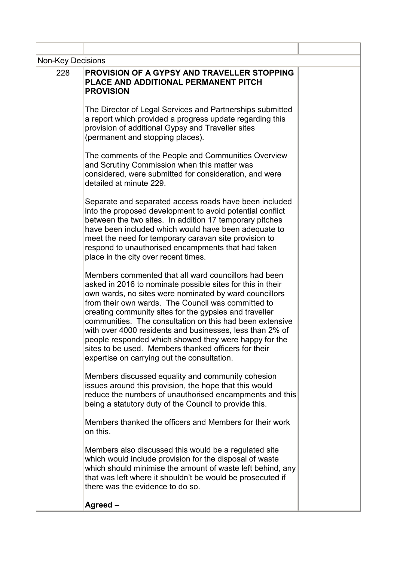| <b>Non-Key Decisions</b> |                                                                                                                                                                                                                                                                                                                                                                                                                                                                                                                                                                                      |  |
|--------------------------|--------------------------------------------------------------------------------------------------------------------------------------------------------------------------------------------------------------------------------------------------------------------------------------------------------------------------------------------------------------------------------------------------------------------------------------------------------------------------------------------------------------------------------------------------------------------------------------|--|
| 228                      | PROVISION OF A GYPSY AND TRAVELLER STOPPING<br>PLACE AND ADDITIONAL PERMANENT PITCH<br><b>PROVISION</b>                                                                                                                                                                                                                                                                                                                                                                                                                                                                              |  |
|                          | The Director of Legal Services and Partnerships submitted<br>a report which provided a progress update regarding this<br>provision of additional Gypsy and Traveller sites<br>(permanent and stopping places).                                                                                                                                                                                                                                                                                                                                                                       |  |
|                          | The comments of the People and Communities Overview<br>and Scrutiny Commission when this matter was<br>considered, were submitted for consideration, and were<br>detailed at minute 229.                                                                                                                                                                                                                                                                                                                                                                                             |  |
|                          | Separate and separated access roads have been included<br>into the proposed development to avoid potential conflict<br>between the two sites. In addition 17 temporary pitches<br>have been included which would have been adequate to<br>meet the need for temporary caravan site provision to<br>respond to unauthorised encampments that had taken<br>place in the city over recent times.                                                                                                                                                                                        |  |
|                          | Members commented that all ward councillors had been<br>asked in 2016 to nominate possible sites for this in their<br>own wards, no sites were nominated by ward councillors<br>from their own wards. The Council was committed to<br>creating community sites for the gypsies and traveller<br>communities. The consultation on this had been extensive<br>with over 4000 residents and businesses, less than 2% of<br>people responded which showed they were happy for the<br>sites to be used. Members thanked officers for their<br>expertise on carrying out the consultation. |  |
|                          | Members discussed equality and community cohesion<br>issues around this provision, the hope that this would<br>reduce the numbers of unauthorised encampments and this<br>being a statutory duty of the Council to provide this.                                                                                                                                                                                                                                                                                                                                                     |  |
|                          | Members thanked the officers and Members for their work<br>on this.                                                                                                                                                                                                                                                                                                                                                                                                                                                                                                                  |  |
|                          | Members also discussed this would be a regulated site<br>which would include provision for the disposal of waste<br>which should minimise the amount of waste left behind, any<br>that was left where it shouldn't be would be prosecuted if<br>there was the evidence to do so.                                                                                                                                                                                                                                                                                                     |  |
|                          | Agreed -                                                                                                                                                                                                                                                                                                                                                                                                                                                                                                                                                                             |  |
|                          |                                                                                                                                                                                                                                                                                                                                                                                                                                                                                                                                                                                      |  |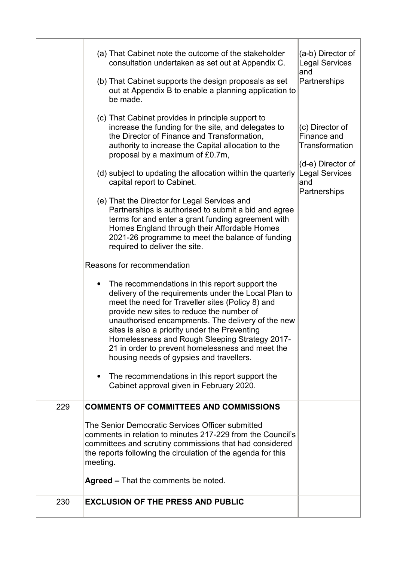|     | (a) That Cabinet note the outcome of the stakeholder<br>consultation undertaken as set out at Appendix C.<br>(b) That Cabinet supports the design proposals as set<br>out at Appendix B to enable a planning application to<br>be made.                                                                                                                                                                                                                         | (a-b) Director of<br><b>Legal Services</b><br>and<br>Partnerships     |
|-----|-----------------------------------------------------------------------------------------------------------------------------------------------------------------------------------------------------------------------------------------------------------------------------------------------------------------------------------------------------------------------------------------------------------------------------------------------------------------|-----------------------------------------------------------------------|
|     | (c) That Cabinet provides in principle support to<br>increase the funding for the site, and delegates to<br>the Director of Finance and Transformation,<br>authority to increase the Capital allocation to the<br>proposal by a maximum of £0.7m,                                                                                                                                                                                                               | (c) Director of<br>Finance and<br>Transformation<br>(d-e) Director of |
|     | (d) subject to updating the allocation within the quarterly<br>capital report to Cabinet.<br>(e) That the Director for Legal Services and                                                                                                                                                                                                                                                                                                                       | <b>Legal Services</b><br>and<br>Partnerships                          |
|     | Partnerships is authorised to submit a bid and agree<br>terms for and enter a grant funding agreement with<br>Homes England through their Affordable Homes<br>2021-26 programme to meet the balance of funding<br>required to deliver the site.                                                                                                                                                                                                                 |                                                                       |
|     | Reasons for recommendation                                                                                                                                                                                                                                                                                                                                                                                                                                      |                                                                       |
|     | The recommendations in this report support the<br>delivery of the requirements under the Local Plan to<br>meet the need for Traveller sites (Policy 8) and<br>provide new sites to reduce the number of<br>unauthorised encampments. The delivery of the new<br>sites is also a priority under the Preventing<br>Homelessness and Rough Sleeping Strategy 2017-<br>21 in order to prevent homelessness and meet the<br>housing needs of gypsies and travellers. |                                                                       |
|     | The recommendations in this report support the<br>Cabinet approval given in February 2020.                                                                                                                                                                                                                                                                                                                                                                      |                                                                       |
| 229 | <b>COMMENTS OF COMMITTEES AND COMMISSIONS</b>                                                                                                                                                                                                                                                                                                                                                                                                                   |                                                                       |
|     | The Senior Democratic Services Officer submitted<br>comments in relation to minutes 217-229 from the Council's<br>committees and scrutiny commissions that had considered<br>the reports following the circulation of the agenda for this<br>meeting.                                                                                                                                                                                                           |                                                                       |
|     | <b>Agreed – That the comments be noted.</b>                                                                                                                                                                                                                                                                                                                                                                                                                     |                                                                       |
| 230 | <b>EXCLUSION OF THE PRESS AND PUBLIC</b>                                                                                                                                                                                                                                                                                                                                                                                                                        |                                                                       |